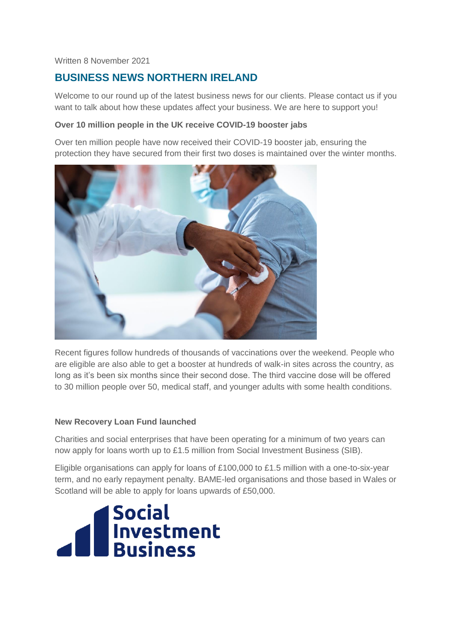#### Written 8 November 2021

# **BUSINESS NEWS NORTHERN IRELAND**

Welcome to our round up of the latest business news for our clients. Please contact us if you want to talk about how these updates affect your business. We are here to support you!

## **Over 10 million people in the UK receive COVID-19 booster jabs**

Over ten million people have now received their COVID-19 booster jab, ensuring the protection they have secured from their first two doses is maintained over the winter months.



Recent figures follow hundreds of thousands of vaccinations over the weekend. People who are eligible are also able to get a booster at hundreds of walk-in sites across the country, as long as it's been six months since their second dose. The third vaccine dose will be offered to 30 million people over 50, medical staff, and younger adults with some health conditions.

# **New Recovery Loan Fund launched**

Charities and social enterprises that have been operating for a minimum of two years can now apply for loans worth up to £1.5 million from Social Investment Business (SIB).

Eligible organisations can apply for loans of £100,000 to £1.5 million with a one-to-six-year term, and no early repayment penalty. BAME-led organisations and those based in Wales or Scotland will be able to apply for loans upwards of £50,000.

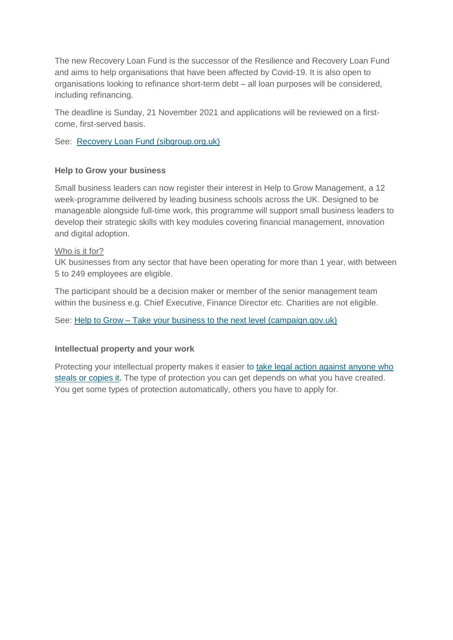The new Recovery Loan Fund is the successor of the Resilience and Recovery Loan Fund and aims to help organisations that have been affected by Covid-19. It is also open to organisations looking to refinance short-term debt – all loan purposes will be considered, including refinancing.

The deadline is Sunday, 21 November 2021 and applications will be reviewed on a firstcome, first-served basis.

See: [Recovery Loan Fund \(sibgroup.org.uk\)](https://www.sibgroup.org.uk/recovery-loan-fund)

## **Help to Grow your business**

Small business leaders can now register their interest in Help to Grow Management, a 12 week-programme delivered by leading business schools across the UK. Designed to be manageable alongside full-time work, this programme will support small business leaders to develop their strategic skills with key modules covering financial management, innovation and digital adoption.

## Who is it for?

UK businesses from any sector that have been operating for more than 1 year, with between 5 to 249 employees are eligible.

The participant should be a decision maker or member of the senior management team within the business e.g. Chief Executive, Finance Director etc. Charities are not eligible.

See: Help to Grow – [Take your business to the next level \(campaign.gov.uk\)](https://helptogrow.campaign.gov.uk/)

#### **Intellectual property and your work**

Protecting your intellectual property makes it easier to [take legal action against anyone who](https://www.gov.uk/defend-your-intellectual-property)  [steals or copies it.](https://www.gov.uk/defend-your-intellectual-property) The type of protection you can get depends on what you have created. You get some types of protection automatically, others you have to apply for.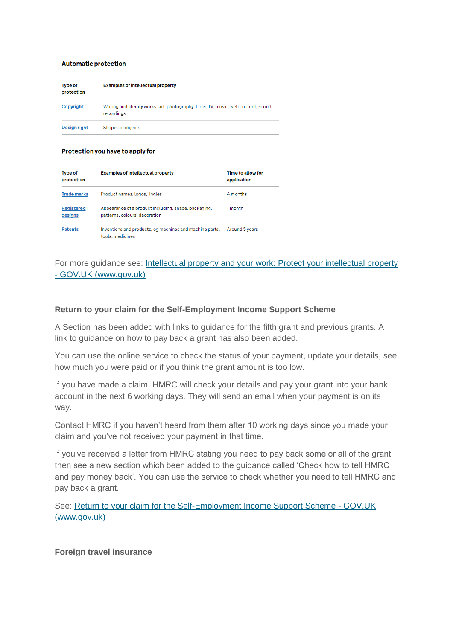#### **Automatic protection**

| <b>Type of</b><br>protection | <b>Examples of intellectual property</b>                                                         |
|------------------------------|--------------------------------------------------------------------------------------------------|
| Copyright                    | Writing and literary works, art, photography, films, TV, music, web content, sound<br>recordings |
| <b>Design right</b>          | Shapes of objects                                                                                |

#### Protection you have to apply for

| <b>Type of</b><br>protection | <b>Examples of intellectual property</b>                                              | Time to allow for<br>application |
|------------------------------|---------------------------------------------------------------------------------------|----------------------------------|
| <b>Trade marks</b>           | Product names, logos, jingles                                                         | 4 months                         |
| <b>Registered</b><br>designs | Appearance of a product including, shape, packaging,<br>patterns, colours, decoration | 1 month                          |
| <b>Patents</b>               | Inventions and products, eg machines and machine parts,<br>tools, medicines           | Around 5 years                   |

# For more guidance see: [Intellectual property and your work: Protect your intellectual property](https://www.gov.uk/intellectual-property-an-overview/protect-your-intellectual-property)  - [GOV.UK \(www.gov.uk\)](https://www.gov.uk/intellectual-property-an-overview/protect-your-intellectual-property)

#### **Return to your claim for the Self-Employment Income Support Scheme**

A Section has been added with links to guidance for the fifth grant and previous grants. A link to guidance on how to pay back a grant has also been added.

You can use the online service to check the status of your payment, update your details, see how much you were paid or if you think the grant amount is too low.

If you have made a claim, HMRC will check your details and pay your grant into your bank account in the next 6 working days. They will send an email when your payment is on its way.

Contact HMRC if you haven't heard from them after 10 working days since you made your claim and you've not received your payment in that time.

If you've received a letter from HMRC stating you need to pay back some or all of the grant then see a new section which been added to the guidance called 'Check how to tell HMRC and pay money back'. You can use the service to check whether you need to tell HMRC and pay back a grant.

See: [Return to your claim for the Self-Employment Income Support Scheme -](https://www.gov.uk/guidance/return-to-your-claim-for-the-self-employment-income-support-scheme?utm_medium=email&utm_campaign=govuk-notifications&utm_source=baf3ac50-2a3c-4045-b168-b908e8f87fe4&utm_content=daily) GOV.UK [\(www.gov.uk\)](https://www.gov.uk/guidance/return-to-your-claim-for-the-self-employment-income-support-scheme?utm_medium=email&utm_campaign=govuk-notifications&utm_source=baf3ac50-2a3c-4045-b168-b908e8f87fe4&utm_content=daily)

**Foreign travel insurance**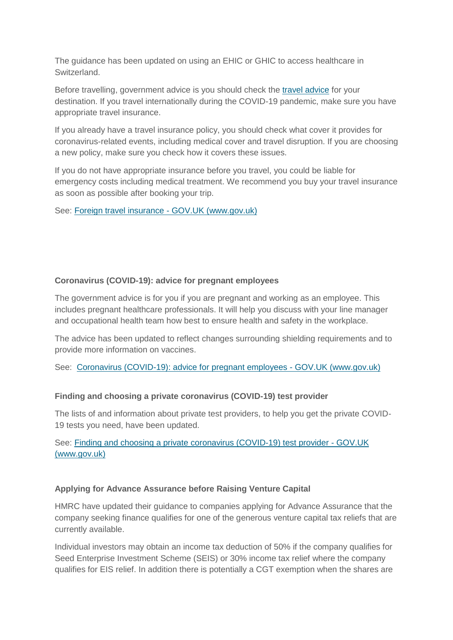The guidance has been updated on using an EHIC or GHIC to access healthcare in Switzerland.

Before travelling, government advice is you should check the [travel advice](https://www.gov.uk/foreign-travel-advice) for your destination. If you travel internationally during the COVID-19 pandemic, make sure you have appropriate travel insurance.

If you already have a travel insurance policy, you should check what cover it provides for coronavirus-related events, including medical cover and travel disruption. If you are choosing a new policy, make sure you check how it covers these issues.

If you do not have appropriate insurance before you travel, you could be liable for emergency costs including medical treatment. We recommend you buy your travel insurance as soon as possible after booking your trip.

See: [Foreign travel insurance -](https://www.gov.uk/guidance/foreign-travel-insurance?utm_medium=email&utm_campaign=govuk-notifications&utm_source=466cb64f-17a9-44fc-8274-8f2549b34f25&utm_content=daily) GOV.UK (www.gov.uk)

# **Coronavirus (COVID-19): advice for pregnant employees**

The government advice is for you if you are pregnant and working as an employee. This includes pregnant healthcare professionals. It will help you discuss with your line manager and occupational health team how best to ensure health and safety in the workplace.

The advice has been updated to reflect changes surrounding shielding requirements and to provide more information on vaccines.

See: [Coronavirus \(COVID-19\): advice for pregnant employees -](https://www.gov.uk/government/publications/coronavirus-covid-19-advice-for-pregnant-employees?utm_medium=email&utm_campaign=govuk-notifications&utm_source=2ce2120d-19f0-445c-8888-94124c7de7b4&utm_content=daily) GOV.UK (www.gov.uk)

# **Finding and choosing a private coronavirus (COVID-19) test provider**

The lists of and information about private test providers, to help you get the private COVID-19 tests you need, have been updated.

See: [Finding and choosing a private coronavirus \(COVID-19\) test provider -](https://www.gov.uk/government/publications/list-of-private-providers-of-coronavirus-testing?utm_medium=email&utm_campaign=govuk-notifications&utm_source=cea240f1-7ba2-4e67-9fa7-4a55c9cde577&utm_content=daily) GOV.UK [\(www.gov.uk\)](https://www.gov.uk/government/publications/list-of-private-providers-of-coronavirus-testing?utm_medium=email&utm_campaign=govuk-notifications&utm_source=cea240f1-7ba2-4e67-9fa7-4a55c9cde577&utm_content=daily)

# **Applying for Advance Assurance before Raising Venture Capital**

HMRC have updated their guidance to companies applying for Advance Assurance that the company seeking finance qualifies for one of the generous venture capital tax reliefs that are currently available.

Individual investors may obtain an income tax deduction of 50% if the company qualifies for Seed Enterprise Investment Scheme (SEIS) or 30% income tax relief where the company qualifies for EIS relief. In addition there is potentially a CGT exemption when the shares are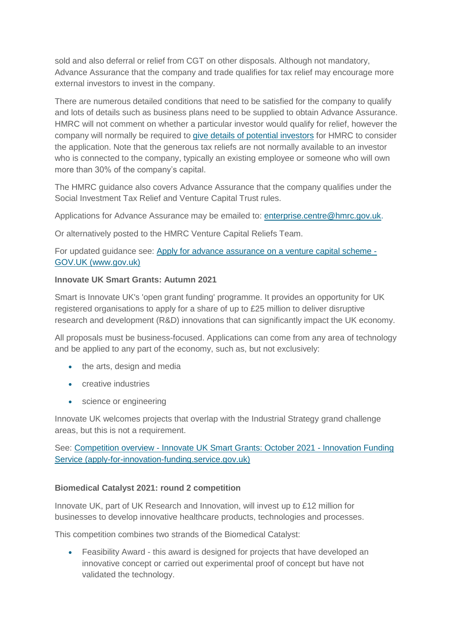sold and also deferral or relief from CGT on other disposals. Although not mandatory, Advance Assurance that the company and trade qualifies for tax relief may encourage more external investors to invest in the company.

There are numerous detailed conditions that need to be satisfied for the company to qualify and lots of details such as business plans need to be supplied to obtain Advance Assurance. HMRC will not comment on whether a particular investor would qualify for relief, however the company will normally be required to [give details of potential investors](https://www.gov.uk/guidance/venture-capital-schemes-apply-for-advance-assurance#investors) for HMRC to consider the application. Note that the generous tax reliefs are not normally available to an investor who is connected to the company, typically an existing employee or someone who will own more than 30% of the company's capital.

The HMRC guidance also covers Advance Assurance that the company qualifies under the Social Investment Tax Relief and Venture Capital Trust rules.

Applications for Advance Assurance may be emailed to: [enterprise.centre@hmrc.gov.uk.](mailto:enterprise.centre@hmrc.gov.uk)

Or alternatively posted to the HMRC Venture Capital Reliefs Team.

For updated guidance see: [Apply for advance assurance on a venture capital scheme -](https://www.gov.uk/guidance/venture-capital-schemes-apply-for-advance-assurance) [GOV.UK \(www.gov.uk\)](https://www.gov.uk/guidance/venture-capital-schemes-apply-for-advance-assurance)

## **Innovate UK Smart Grants: Autumn 2021**

Smart is Innovate UK's 'open grant funding' programme. It provides an opportunity for UK registered organisations to apply for a share of up to £25 million to deliver disruptive research and development (R&D) innovations that can significantly impact the UK economy.

All proposals must be business-focused. Applications can come from any area of technology and be applied to any part of the economy, such as, but not exclusively:

- the arts, design and media
- **creative industries**
- science or engineering

Innovate UK welcomes projects that overlap with the Industrial Strategy grand challenge areas, but this is not a requirement.

See: Competition overview - [Innovate UK Smart Grants: October 2021 -](https://apply-for-innovation-funding.service.gov.uk/competition/1035/overview) Innovation Funding [Service \(apply-for-innovation-funding.service.gov.uk\)](https://apply-for-innovation-funding.service.gov.uk/competition/1035/overview)

# **Biomedical Catalyst 2021: round 2 competition**

Innovate UK, part of UK Research and Innovation, will invest up to £12 million for businesses to develop innovative healthcare products, technologies and processes.

This competition combines two strands of the Biomedical Catalyst:

 Feasibility Award - this award is designed for projects that have developed an innovative concept or carried out experimental proof of concept but have not validated the technology.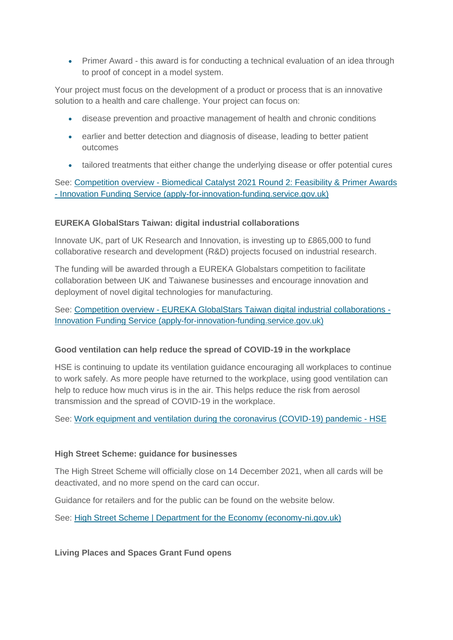Primer Award - this award is for conducting a technical evaluation of an idea through to proof of concept in a model system.

Your project must focus on the development of a product or process that is an innovative solution to a health and care challenge. Your project can focus on:

- disease prevention and proactive management of health and chronic conditions
- earlier and better detection and diagnosis of disease, leading to better patient outcomes
- tailored treatments that either change the underlying disease or offer potential cures

See: Competition overview - Biomedical [Catalyst 2021 Round 2: Feasibility & Primer Awards](https://apply-for-innovation-funding.service.gov.uk/competition/1028/overview)  - [Innovation Funding Service \(apply-for-innovation-funding.service.gov.uk\)](https://apply-for-innovation-funding.service.gov.uk/competition/1028/overview)

# **EUREKA GlobalStars Taiwan: digital industrial collaborations**

Innovate UK, part of UK Research and Innovation, is investing up to £865,000 to fund collaborative research and development (R&D) projects focused on industrial research.

The funding will be awarded through a EUREKA Globalstars competition to facilitate collaboration between UK and Taiwanese businesses and encourage innovation and deployment of novel digital technologies for manufacturing.

See: Competition overview - [EUREKA GlobalStars Taiwan digital industrial collaborations -](https://apply-for-innovation-funding.service.gov.uk/competition/1000/overview) [Innovation Funding Service \(apply-for-innovation-funding.service.gov.uk\)](https://apply-for-innovation-funding.service.gov.uk/competition/1000/overview)

# **Good ventilation can help reduce the spread of COVID-19 in the workplace**

HSE is continuing to update its ventilation guidance encouraging all workplaces to continue to work safely. As more people have returned to the workplace, using good ventilation can help to reduce how much virus is in the air. This helps reduce the risk from aerosol transmission and the spread of COVID-19 in the workplace.

See: [Work equipment and ventilation during the coronavirus \(COVID-19\) pandemic -](https://www.hse.gov.uk/coronavirus/equipment-and-machinery/index.htm?utm_source=govdelivery&utm_medium=email&utm_campaign=coronavirus&utm_term=ventilation-1&utm_content=digest-21-oct-21) HSE

# **High Street Scheme: guidance for businesses**

The High Street Scheme will officially close on 14 December 2021, when all cards will be deactivated, and no more spend on the card can occur.

Guidance for retailers and for the public can be found on the website below.

See: [High Street Scheme | Department for the Economy \(economy-ni.gov.uk\)](https://www.economy-ni.gov.uk/articles/high-street-scheme)

**Living Places and Spaces Grant Fund opens**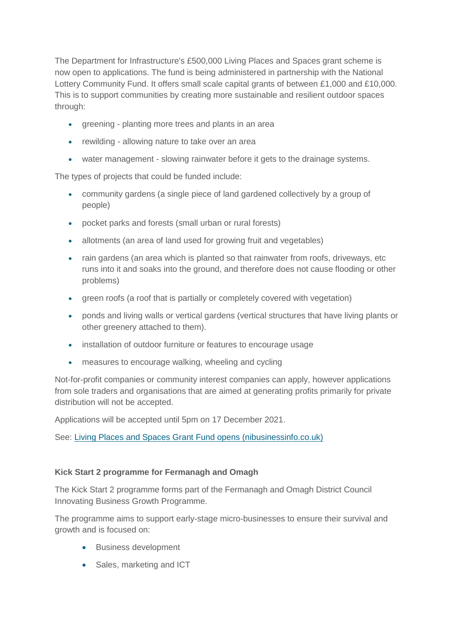The Department for Infrastructure's £500,000 Living Places and Spaces grant scheme is now open to applications. The fund is being administered in partnership with the National Lottery Community Fund. It offers small scale capital grants of between £1,000 and £10,000. This is to support communities by creating more sustainable and resilient outdoor spaces through:

- greening planting more trees and plants in an area
- rewilding allowing nature to take over an area
- water management slowing rainwater before it gets to the drainage systems.

The types of projects that could be funded include:

- community gardens (a single piece of land gardened collectively by a group of people)
- pocket parks and forests (small urban or rural forests)
- allotments (an area of land used for growing fruit and vegetables)
- rain gardens (an area which is planted so that rainwater from roofs, driveways, etc runs into it and soaks into the ground, and therefore does not cause flooding or other problems)
- green roofs (a roof that is partially or completely covered with vegetation)
- ponds and living walls or vertical gardens (vertical structures that have living plants or other greenery attached to them).
- installation of outdoor furniture or features to encourage usage
- measures to encourage walking, wheeling and cycling

Not-for-profit companies or community interest companies can apply, however applications from sole traders and organisations that are aimed at generating profits primarily for private distribution will not be accepted.

Applications will be accepted until 5pm on 17 December 2021.

See: [Living Places and Spaces Grant Fund opens \(nibusinessinfo.co.uk\)](https://www.nibusinessinfo.co.uk/content/living-places-and-spaces-grant-fund-opens)

# **Kick Start 2 programme for Fermanagh and Omagh**

The Kick Start 2 programme forms part of the Fermanagh and Omagh District Council Innovating Business Growth Programme.

The programme aims to support early-stage micro-businesses to ensure their survival and growth and is focused on:

- Business development
- Sales, marketing and ICT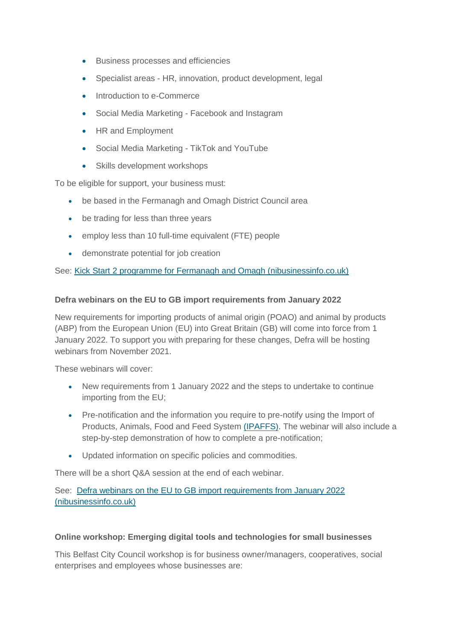- Business processes and efficiencies
- Specialist areas HR, innovation, product development, legal
- Introduction to e-Commerce
- Social Media Marketing Facebook and Instagram
- HR and Employment
- Social Media Marketing TikTok and YouTube
- Skills development workshops

To be eligible for support, your business must:

- be based in the Fermanagh and Omagh District Council area
- be trading for less than three years
- employ less than 10 full-time equivalent (FTE) people
- demonstrate potential for job creation

See: [Kick Start 2 programme for Fermanagh and Omagh \(nibusinessinfo.co.uk\)](https://www.nibusinessinfo.co.uk/content/kick-start-2-programme-fermanagh-and-omagh)

#### **Defra webinars on the EU to GB import requirements from January 2022**

New requirements for importing products of animal origin (POAO) and animal by products (ABP) from the European Union (EU) into Great Britain (GB) will come into force from 1 January 2022. To support you with preparing for these changes, Defra will be hosting webinars from November 2021.

These webinars will cover:

- New requirements from 1 January 2022 and the steps to undertake to continue importing from the EU;
- Pre-notification and the information you require to pre-notify using the Import of Products, Animals, Food and Feed System [\(IPAFFS\).](https://www.gov.uk/guidance/import-of-products-animals-food-and-feed-system) The webinar will also include a step-by-step demonstration of how to complete a pre-notification;
- Updated information on specific policies and commodities.

There will be a short Q&A session at the end of each webinar.

See: [Defra webinars on the EU to GB import requirements from January 2022](https://www.nibusinessinfo.co.uk/content/defra-webinars-eu-gb-import-requirements-january-2022)  [\(nibusinessinfo.co.uk\)](https://www.nibusinessinfo.co.uk/content/defra-webinars-eu-gb-import-requirements-january-2022)

#### **Online workshop: Emerging digital tools and technologies for small businesses**

This Belfast City Council workshop is for business owner/managers, cooperatives, social enterprises and employees whose businesses are: